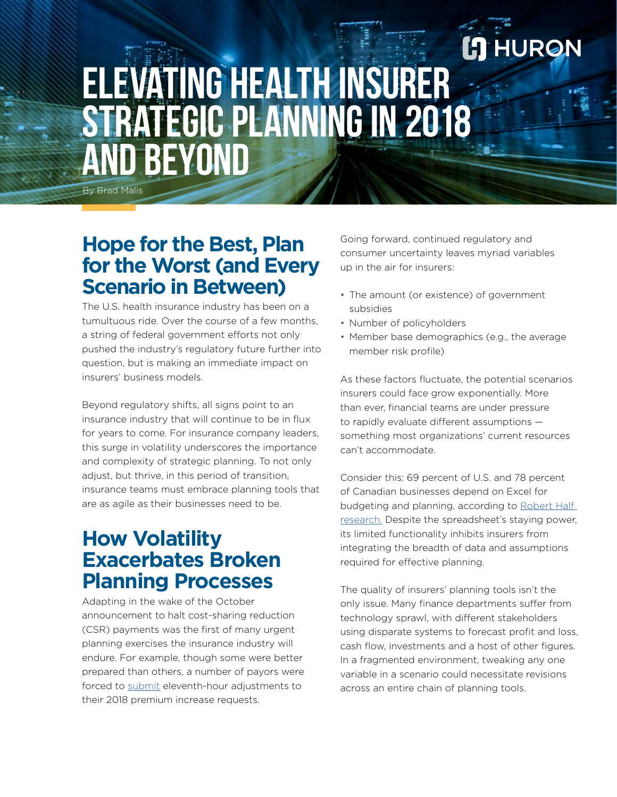# **ELEVATING HEALTH INSURER STRATEGIC PLANNING IN 2018 AND BEYOND**

By Brad Malis

#### **Hope for the Best, Plan for the Worst (and Every Scenario in Between)**

The U.S. health insurance industry has been on a tumultuous ride. Over the course of a few months, a string of federal government efforts not only pushed the industry's regulatory future further into question, but is making an immediate impact on insurers' business models.

Beyond regulatory shifts, all signs point to an insurance industry that will continue to be in flux for years to come. For insurance company leaders, this surge in volatility underscores the importance and complexity of strategic planning. To not only adjust, but thrive, in this period of transition, insurance teams must embrace planning tools that are as agile as their businesses need to be.

## **How Volatility Exacerbates Broken Planning Processes**

Adapting in the wake of the October announcement to halt cost-sharing reduction (CSR) payments was the first of many urgent planning exercises the insurance industry will endure. For example, though some were better prepared than others, a number of payors were forced to [submit](https://healthpayerintelligence.com/news/states-approve-premium-hikes-after-loss-of-cost-sharing-reductions) eleventh-hour adjustments to their 2018 premium increase requests.

Going forward, continued regulatory and consumer uncertainty leaves myriad variables up in the air for insurers:

**HURON** 

- The amount (or existence) of government subsidies
- Number of policyholders
- Member base demographics (e.g., the average member risk profile)

As these factors fluctuate, the potential scenarios insurers could face grow exponentially. More than ever, financial teams are under pressure to rapidly evaluate different assumptions something most organizations' current resources can't accommodate.

Consider this: 69 percent of U.S. and 78 percent of Canadian businesses depend on Excel for budgeting and planning, according to [Robert Half](https://www.roberthalf.com/research-and-insights/workplace-research/benchmarking-the-accounting-and-finance-function)  [research.](https://www.roberthalf.com/research-and-insights/workplace-research/benchmarking-the-accounting-and-finance-function) Despite the spreadsheet's staying power, its limited functionality inhibits insurers from integrating the breadth of data and assumptions required for effective planning.

The quality of insurers' planning tools isn't the only issue. Many finance departments suffer from technology sprawl, with different stakeholders using disparate systems to forecast profit and loss, cash flow, investments and a host of other figures. In a fragmented environment, tweaking any one variable in a scenario could necessitate revisions across an entire chain of planning tools.